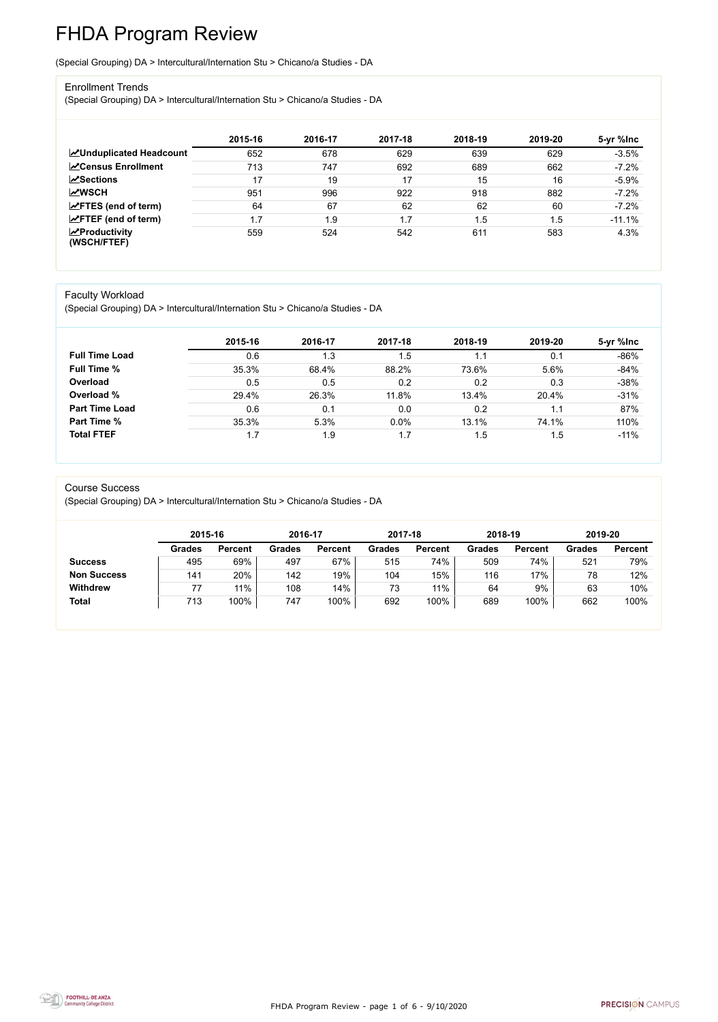FHDA Program Review - page 1 of 6 - 9/10/2020



# FHDA Program Review

(Special Grouping) DA > Intercultural/Internation Stu > Chicano/a Studies - DA

#### Enrollment Trends

(Special Grouping) DA > Intercultural/Internation Stu > Chicano/a Studies - DA

|                                        | 2015-16 | 2016-17 | 2017-18 | 2018-19 | 2019-20 | 5-yr %lnc |
|----------------------------------------|---------|---------|---------|---------|---------|-----------|
| <b>ZUnduplicated Headcount</b>         | 652     | 678     | 629     | 639     | 629     | $-3.5%$   |
| <b>∠</b> Census Enrollment             | 713     | 747     | 692     | 689     | 662     | $-7.2%$   |
| <b>ZSections</b>                       | 17      | 19      | 17      | 15      | 16      | $-5.9%$   |
| <b>MWSCH</b>                           | 951     | 996     | 922     | 918     | 882     | $-7.2%$   |
| $\angle$ FTES (end of term)            | 64      | 67      | 62      | 62      | 60      | $-7.2%$   |
| $\angle$ FTEF (end of term)            | 1.7     | 1.9     | 1.7     | .5      | 1.5     | $-11.1%$  |
| $\sqrt{2}$ Productivity<br>(WSCH/FTEF) | 559     | 524     | 542     | 611     | 583     | 4.3%      |

#### Faculty Workload

(Special Grouping) DA > Intercultural/Internation Stu > Chicano/a Studies - DA

|                       | 2015-16 | 2016-17 | 2017-18 | 2018-19 | 2019-20 | 5-yr %lnc |
|-----------------------|---------|---------|---------|---------|---------|-----------|
| <b>Full Time Load</b> | 0.6     | 1.3     | 1.5     |         | 0.1     | $-86%$    |
| <b>Full Time %</b>    | 35.3%   | 68.4%   | 88.2%   | 73.6%   | 5.6%    | $-84%$    |
| Overload              | 0.5     | 0.5     | 0.2     | 0.2     | 0.3     | $-38%$    |
| Overload %            | 29.4%   | 26.3%   | 11.8%   | 13.4%   | 20.4%   | $-31%$    |
| <b>Part Time Load</b> | 0.6     | 0.1     | 0.0     | 0.2     | 1.1     | 87%       |
| <b>Part Time %</b>    | 35.3%   | 5.3%    | 0.0%    | 13.1%   | 74.1%   | 110%      |
| <b>Total FTEF</b>     | 1.7     | 1.9     | 1.7     | . 5     | 1.5     | $-11%$    |

#### Course Success

(Special Grouping) DA > Intercultural/Internation Stu > Chicano/a Studies - DA

|                    |               | 2015-16        |        | 2016-17        | 2017-18       |                | 2018-19 |                | 2019-20       |                |
|--------------------|---------------|----------------|--------|----------------|---------------|----------------|---------|----------------|---------------|----------------|
|                    | <b>Grades</b> | <b>Percent</b> | Grades | <b>Percent</b> | <b>Grades</b> | <b>Percent</b> | Grades  | <b>Percent</b> | <b>Grades</b> | <b>Percent</b> |
| <b>Success</b>     | 495           | 69%            | 497    | 67%            | 515           | 74%            | 509     | 74%            | 521           | 79%            |
| <b>Non Success</b> | 141           | 20%            | 142    | 19%            | 104           | 15%            | 116     | 17%            | 78            | 12%            |
| <b>Withdrew</b>    |               | 11%            | 108    | 14%            | 73            | 11%            | 64      | 9%             | 63            | 10%            |
| <b>Total</b>       | 713           | 100%           | 747    | 100%           | 692           | 100%           | 689     | 100%           | 662           | 100%           |

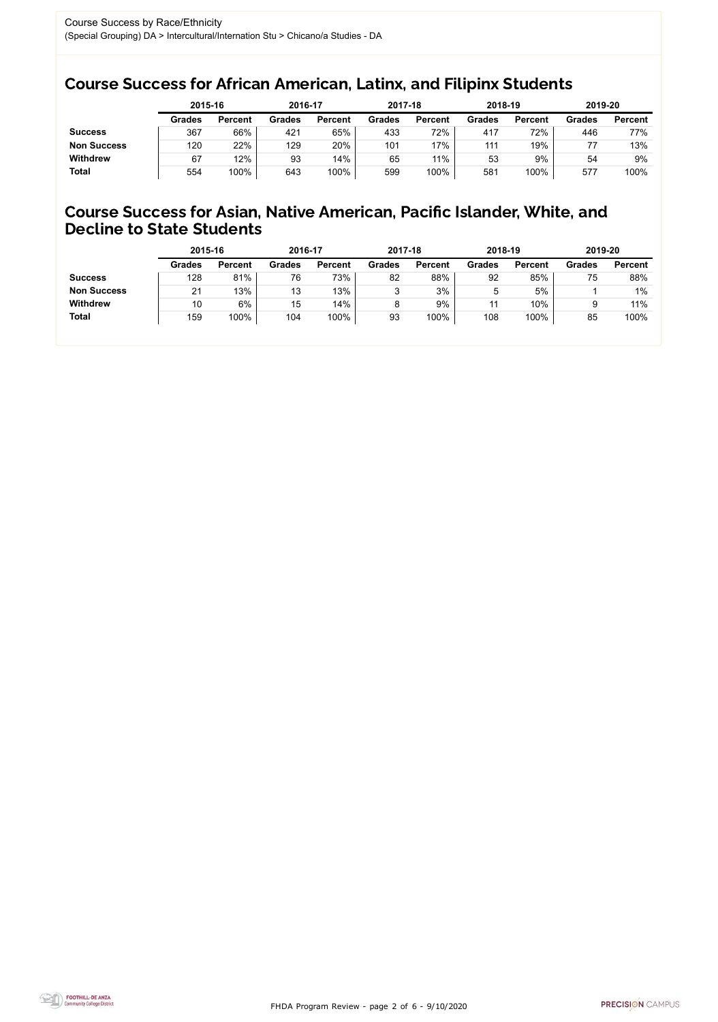FHDA Program Review - page 2 of 6 - 9/10/2020



### Course Success for African American, Latinx, and Filipinx Students

### Course Success for Asian, Native American, Pacific Islander, White, and Decline to State Students

|                    | 2015-16       |                | 2016-17       |                | 2017-18       |                | 2018-19       |                | 2019-20       |                |
|--------------------|---------------|----------------|---------------|----------------|---------------|----------------|---------------|----------------|---------------|----------------|
|                    | <b>Grades</b> | <b>Percent</b> | <b>Grades</b> | <b>Percent</b> | <b>Grades</b> | <b>Percent</b> | <b>Grades</b> | <b>Percent</b> | <b>Grades</b> | <b>Percent</b> |
| <b>Success</b>     | 367           | 66%            | 421           | 65%            | 433           | 72%            | 417           | 72%            | 446           | 77%            |
| <b>Non Success</b> | 120           | 22%            | 129           | 20%            | 101           | 17%            | 111           | 19%            |               | 13%            |
| <b>Withdrew</b>    | 67            | 12%            | 93            | 14%            | 65            | 11%            | 53            | 9%             | 54            | 9%             |
| <b>Total</b>       | 554           | 100%           | 643           | 100%           | 599           | 100%           | 581           | 100%           | 577           | 100%           |

|                    | 2015-16       |                | 2016-17       |                | 2017-18       |                | 2018-19       |                | 2019-20       |                |
|--------------------|---------------|----------------|---------------|----------------|---------------|----------------|---------------|----------------|---------------|----------------|
|                    | <b>Grades</b> | <b>Percent</b> | <b>Grades</b> | <b>Percent</b> | <b>Grades</b> | <b>Percent</b> | <b>Grades</b> | <b>Percent</b> | <b>Grades</b> | <b>Percent</b> |
| <b>Success</b>     | 128           | 81%            | 76            | 73%            | 82            | 88%            | 92            | 85%            | 75            | 88%            |
| <b>Non Success</b> | 21            | 13%            | 13            | 13%            | 3             | 3%             | ხ             | 5%             |               | $1\%$          |
| <b>Withdrew</b>    | 10            | 6%             | 15            | 14%            | 8             | 9%             | 11            | 10%            | 9             | 11%            |
| <b>Total</b>       | 159           | 100%           | 104           | 100%           | 93            | 100%           | 108           | 100%           | 85            | 100%           |
|                    |               |                |               |                |               |                |               |                |               |                |

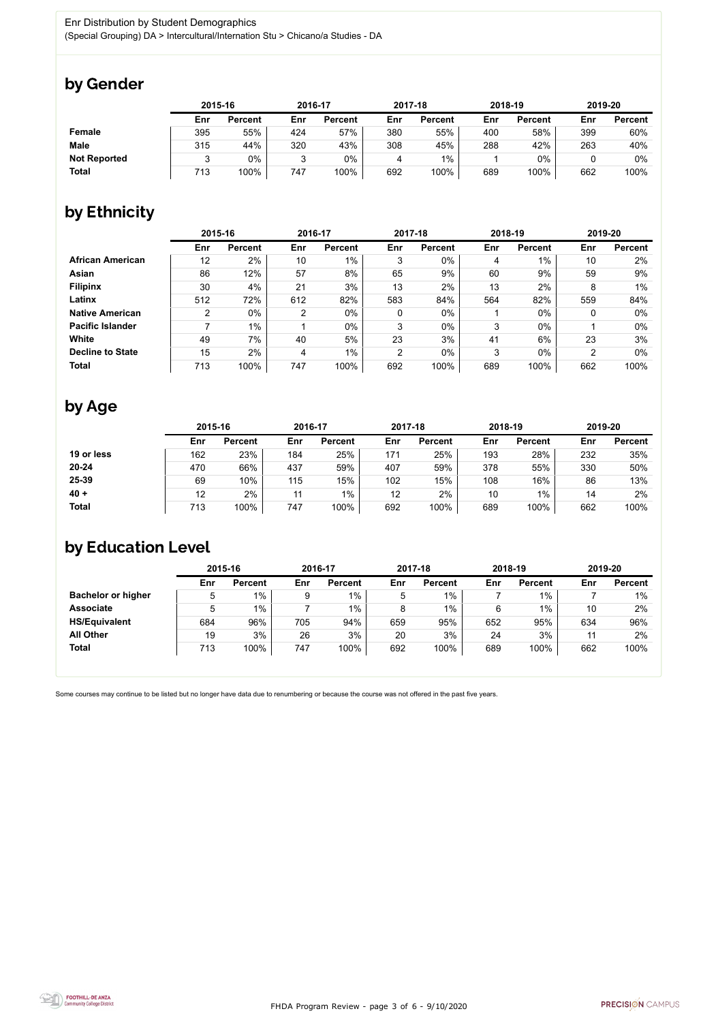

Some courses may continue to be listed but no longer have data due to renumbering or because the course was not offered in the past five years.



## by Gender

|                     | 2015-16 |                |     | 2016-17        |     | 2017-18        |     | 2018-19        |     | 2019-20        |  |
|---------------------|---------|----------------|-----|----------------|-----|----------------|-----|----------------|-----|----------------|--|
|                     | Enr     | <b>Percent</b> | Enr | <b>Percent</b> | Enr | <b>Percent</b> | Enr | <b>Percent</b> | Enr | <b>Percent</b> |  |
| <b>Female</b>       | 395     | 55%            | 424 | 57%            | 380 | 55%            | 400 | 58%            | 399 | 60%            |  |
| <b>Male</b>         | 315     | 44%            | 320 | 43%            | 308 | 45%            | 288 | 42%            | 263 | 40%            |  |
| <b>Not Reported</b> |         | $0\%$          | ◠   | $0\%$          |     | $1\%$          |     | $0\%$          |     | 0%             |  |
| <b>Total</b>        | 713     | 100%           | 747 | 100%           | 692 | 100%           | 689 | 100%           | 662 | 100%           |  |

# by Ethnicity

|                         |                | 2015-16        |                | 2016-17        |                | 2017-18        |     | 2018-19        | 2019-20 |                |
|-------------------------|----------------|----------------|----------------|----------------|----------------|----------------|-----|----------------|---------|----------------|
|                         | Enr            | <b>Percent</b> | Enr            | <b>Percent</b> | Enr            | <b>Percent</b> | Enr | <b>Percent</b> | Enr     | <b>Percent</b> |
| <b>African American</b> | 12             | 2%             | 10             | $1\%$          | 3              | $0\%$          | 4   | $1\%$          | 10      | 2%             |
| <b>Asian</b>            | 86             | 12%            | 57             | 8%             | 65             | 9%             | 60  | 9%             | 59      | 9%             |
| <b>Filipinx</b>         | 30             | 4%             | 21             | 3%             | 13             | 2%             | 13  | 2%             | 8       | $1\%$          |
| Latinx                  | 512            | 72%            | 612            | 82%            | 583            | 84%            | 564 | 82%            | 559     | 84%            |
| <b>Native American</b>  | $\overline{2}$ | $0\%$          | $\overline{2}$ | $0\%$          | $\mathbf 0$    | $0\%$          |     | $0\%$          | 0       | $0\%$          |
| <b>Pacific Islander</b> |                | $1\%$          |                | $0\%$          | 3              | $0\%$          | 3   | $0\%$          |         | $0\%$          |
| White                   | 49             | 7%             | 40             | 5%             | 23             | 3%             | 41  | 6%             | 23      | 3%             |
| <b>Decline to State</b> | 15             | 2%             | 4              | $1\%$          | $\overline{2}$ | $0\%$          | 3   | $0\%$          | າ       | $0\%$          |
| <b>Total</b>            | 713            | 100%           | 747            | 100%           | 692            | 100%           | 689 | 100%           | 662     | 100%           |

# by Age

|              | 2015-16 |                |     | 2016-17        |     | 2017-18        |     | 2018-19        |     | 2019-20        |  |
|--------------|---------|----------------|-----|----------------|-----|----------------|-----|----------------|-----|----------------|--|
|              | Enr     | <b>Percent</b> | Enr | <b>Percent</b> | Enr | <b>Percent</b> | Enr | <b>Percent</b> | Enr | <b>Percent</b> |  |
| 19 or less   | 162     | 23%            | 184 | 25%            | 171 | 25%            | 193 | 28%            | 232 | 35%            |  |
| $20 - 24$    | 470     | 66%            | 437 | 59%            | 407 | 59%            | 378 | 55%            | 330 | 50%            |  |
| 25-39        | 69      | 10%            | 115 | 15%            | 102 | 15%            | 108 | 16%            | 86  | 13%            |  |
| $40 +$       | 12      | 2%             | 11  | $1\%$          | 12  | 2%             | 10  | $1\%$          | 14  | 2%             |  |
| <b>Total</b> | 713     | 100%           | 747 | 100%           | 692 | 100%           | 689 | 100%           | 662 | 100%           |  |

## by Education Level

|                           | 2015-16 |                |     | 2016-17        |     | 2017-18        | 2018-19 |                | 2019-20 |                |
|---------------------------|---------|----------------|-----|----------------|-----|----------------|---------|----------------|---------|----------------|
|                           | Enr     | <b>Percent</b> | Enr | <b>Percent</b> | Enr | <b>Percent</b> | Enr     | <b>Percent</b> | Enr     | <b>Percent</b> |
| <b>Bachelor or higher</b> | 5       | $1\%$          | 9   | $1\%$          | 5   | $1\%$          |         | $1\%$          |         | $1\%$          |
| <b>Associate</b>          | 5       | $1\%$          |     | $1\%$          | 8   | 1%             |         | $1\%$          | 10      | 2%             |
| <b>HS/Equivalent</b>      | 684     | 96%            | 705 | 94%            | 659 | 95%            | 652     | 95%            | 634     | 96%            |
| <b>All Other</b>          | 19      | 3%             | 26  | 3%             | 20  | 3%             | 24      | 3%             | 44      | 2%             |
| <b>Total</b>              | 713     | 100%           | 747 | 100%           | 692 | 100%           | 689     | 100%           | 662     | 100%           |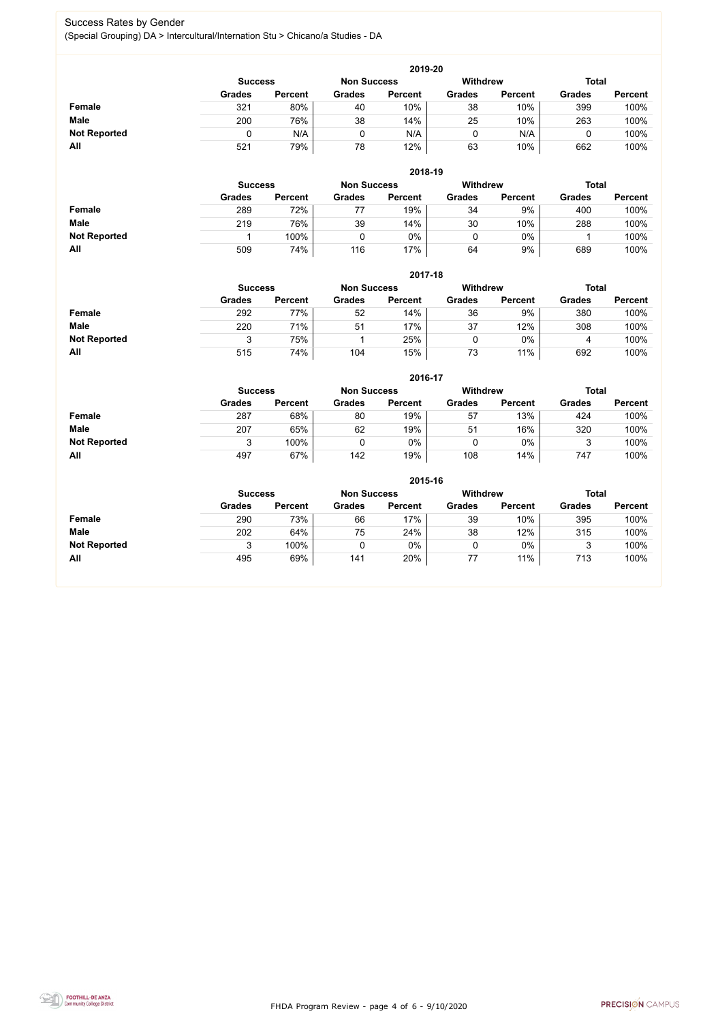FHDA Program Review - page 4 of 6 - 9/10/2020



#### Success Rates by Gender (Special Grouping) DA > Intercultural/Internation Stu > Chicano/a Studies - DA

|                     | 2019-20       |                                                                         |               |                |               |                |               |                |  |  |  |  |
|---------------------|---------------|-------------------------------------------------------------------------|---------------|----------------|---------------|----------------|---------------|----------------|--|--|--|--|
|                     |               | <b>Withdrew</b><br><b>Total</b><br><b>Non Success</b><br><b>Success</b> |               |                |               |                |               |                |  |  |  |  |
|                     | <b>Grades</b> | <b>Percent</b>                                                          | <b>Grades</b> | <b>Percent</b> | <b>Grades</b> | <b>Percent</b> | <b>Grades</b> | <b>Percent</b> |  |  |  |  |
| <b>Female</b>       | 321           | 80%                                                                     | 40            | 10%            | 38            | 10%            | 399           | 100%           |  |  |  |  |
| <b>Male</b>         | 200           | 76%                                                                     | 38            | 14%            | 25            | 10%            | 263           | 100%           |  |  |  |  |
| <b>Not Reported</b> |               | N/A                                                                     |               | N/A            |               | N/A            |               | 100%           |  |  |  |  |
| All                 | 521           | 79%                                                                     | 78            | 12%            | 63            | 10%            | 662           | 100%           |  |  |  |  |

|                     |               | 2018-19                              |               |                |               |                 |               |                |  |  |  |  |  |
|---------------------|---------------|--------------------------------------|---------------|----------------|---------------|-----------------|---------------|----------------|--|--|--|--|--|
|                     |               | <b>Non Success</b><br><b>Success</b> |               |                |               | <b>Withdrew</b> | <b>Total</b>  |                |  |  |  |  |  |
|                     | <b>Grades</b> | <b>Percent</b>                       | <b>Grades</b> | <b>Percent</b> | <b>Grades</b> | <b>Percent</b>  | <b>Grades</b> | <b>Percent</b> |  |  |  |  |  |
| <b>Female</b>       | 289           | 72%                                  | 77            | 19%            | 34            | 9%              | 400           | 100%           |  |  |  |  |  |
| <b>Male</b>         | 219           | 76%                                  | 39            | 14%            | 30            | 10%             | 288           | 100%           |  |  |  |  |  |
| <b>Not Reported</b> |               | 100%                                 |               | 0%             |               | $0\%$           |               | 100%           |  |  |  |  |  |
| All                 | 509           | 74%                                  | 116           | 17%            | 64            | 9%              | 689           | 100%           |  |  |  |  |  |

|                     |               | 2017-18                                                                 |               |                |               |                |               |                |  |  |  |  |  |  |
|---------------------|---------------|-------------------------------------------------------------------------|---------------|----------------|---------------|----------------|---------------|----------------|--|--|--|--|--|--|
|                     |               | <b>Withdrew</b><br><b>Total</b><br><b>Non Success</b><br><b>Success</b> |               |                |               |                |               |                |  |  |  |  |  |  |
|                     | <b>Grades</b> | <b>Percent</b>                                                          | <b>Grades</b> | <b>Percent</b> | <b>Grades</b> | <b>Percent</b> | <b>Grades</b> | <b>Percent</b> |  |  |  |  |  |  |
| <b>Female</b>       | 292           | 77%                                                                     | 52            | 14%            | 36            | 9%             | 380           | 100%           |  |  |  |  |  |  |
| <b>Male</b>         | 220           | 71%                                                                     | 51            | 17%            | 37            | 12%            | 308           | 100%           |  |  |  |  |  |  |
| <b>Not Reported</b> | 3             | 75%                                                                     |               | 25%            | 0             | $0\%$          | 4             | 100%           |  |  |  |  |  |  |
| <b>All</b>          | 515           | 74%                                                                     | 104           | 15%            | 73            | 11%            | 692           | 100%           |  |  |  |  |  |  |

|                     |                | 2016-17        |                    |                |               |                 |               |                |  |  |
|---------------------|----------------|----------------|--------------------|----------------|---------------|-----------------|---------------|----------------|--|--|
|                     | <b>Success</b> |                | <b>Non Success</b> |                |               | <b>Withdrew</b> | <b>Total</b>  |                |  |  |
|                     | <b>Grades</b>  | <b>Percent</b> | <b>Grades</b>      | <b>Percent</b> | <b>Grades</b> | <b>Percent</b>  | <b>Grades</b> | <b>Percent</b> |  |  |
| Female              | 287            | 68%            | 80                 | 19%            | 57            | 13%             | 424           | 100%           |  |  |
| <b>Male</b>         | 207            | 65%            | 62                 | 19%            | 51            | 16%             | 320           | 100%           |  |  |
| <b>Not Reported</b> |                | 100%           |                    | 0%             |               | $0\%$           |               | 100%           |  |  |
| All                 | 497            | 67%            | 142                | 19%            | 108           | 14%             | 747           | 100%           |  |  |

|                     |                                                                  |                |               | 2015-16        |               |                |               |                |
|---------------------|------------------------------------------------------------------|----------------|---------------|----------------|---------------|----------------|---------------|----------------|
|                     | Withdrew<br><b>Total</b><br><b>Non Success</b><br><b>Success</b> |                |               |                |               |                |               |                |
|                     | <b>Grades</b>                                                    | <b>Percent</b> | <b>Grades</b> | <b>Percent</b> | <b>Grades</b> | <b>Percent</b> | <b>Grades</b> | <b>Percent</b> |
| Female              | 290                                                              | 73%            | 66            | 17%            | 39            | 10%            | 395           | 100%           |
| <b>Male</b>         | 202                                                              | 64%            | 75            | 24%            | 38            | 12%            | 315           | 100%           |
| <b>Not Reported</b> |                                                                  | 100%           |               | 0%             | υ             | $0\%$          |               | 100%           |
| All                 | 495                                                              | 69%            | 141           | 20%            | 77            | 11%            | 713           | 100%           |

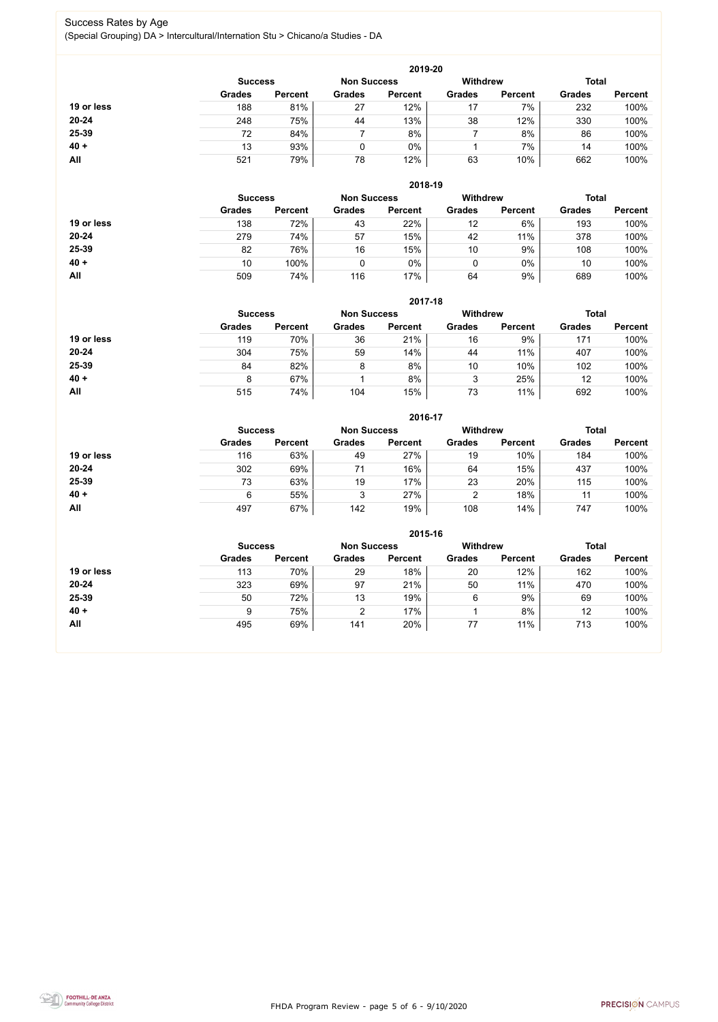FHDA Program Review - page 5 of 6 - 9/10/2020



#### Success Rates by Age (Special Grouping) DA > Intercultural/Internation Stu > Chicano/a Studies - DA

|            |                |                |                    | 2019-20        |                 |                |               |                |
|------------|----------------|----------------|--------------------|----------------|-----------------|----------------|---------------|----------------|
|            | <b>Success</b> |                | <b>Non Success</b> |                | <b>Withdrew</b> |                | <b>Total</b>  |                |
|            | <b>Grades</b>  | <b>Percent</b> | <b>Grades</b>      | <b>Percent</b> | <b>Grades</b>   | <b>Percent</b> | <b>Grades</b> | <b>Percent</b> |
| 19 or less | 188            | 81%            | 27                 | 12%            | 17              | 7%             | 232           | 100%           |
| 20-24      | 248            | 75%            | 44                 | 13%            | 38              | 12%            | 330           | 100%           |
| 25-39      | 72             | 84%            |                    | 8%             |                 | 8%             | 86            | 100%           |
| $40 +$     | 13             | 93%            |                    | $0\%$          |                 | 7%             | 14            | 100%           |
| <b>All</b> | 521            | 79%            | 78                 | 12%            | 63              | 10%            | 662           | 100%           |

|            |                |                    |               | 2018-19         |               |                |               |                |
|------------|----------------|--------------------|---------------|-----------------|---------------|----------------|---------------|----------------|
|            | <b>Success</b> | <b>Non Success</b> |               | <b>Withdrew</b> |               | <b>Total</b>   |               |                |
|            | <b>Grades</b>  | <b>Percent</b>     | <b>Grades</b> | <b>Percent</b>  | <b>Grades</b> | <b>Percent</b> | <b>Grades</b> | <b>Percent</b> |
| 19 or less | 138            | 72%                | 43            | 22%             | 12            | 6%             | 193           | 100%           |
| $20 - 24$  | 279            | 74%                | 57            | 15%             | 42            | 11%            | 378           | 100%           |
| 25-39      | 82             | 76%                | 16            | 15%             | 10            | 9%             | 108           | 100%           |
| $40 +$     | 10             | 100%               |               | 0%              | 0             | $0\%$          | 10            | 100%           |
| All        | 509            | 74%                | 116           | 17%             | 64            | 9%             | 689           | 100%           |

|            |                                      |                |               | 2017-18        |                 |                |               |                |
|------------|--------------------------------------|----------------|---------------|----------------|-----------------|----------------|---------------|----------------|
|            | <b>Non Success</b><br><b>Success</b> |                |               |                | <b>Withdrew</b> |                | <b>Total</b>  |                |
|            | <b>Grades</b>                        | <b>Percent</b> | <b>Grades</b> | <b>Percent</b> | <b>Grades</b>   | <b>Percent</b> | <b>Grades</b> | <b>Percent</b> |
| 19 or less | 119                                  | 70%            | 36            | 21%            | 16              | 9%             | 171           | 100%           |
| $20 - 24$  | 304                                  | 75%            | 59            | 14%            | 44              | 11%            | 407           | 100%           |
| 25-39      | 84                                   | 82%            | 8             | 8%             | 10              | 10%            | 102           | 100%           |
| $40 +$     | 8                                    | 67%            |               | 8%             | 3               | 25%            | 12            | 100%           |
| All        | 515                                  | 74%            | 104           | 15%            | 73              | 11%            | 692           | 100%           |

|            |                |                    |               | 2016-17         |               |                |               |                |
|------------|----------------|--------------------|---------------|-----------------|---------------|----------------|---------------|----------------|
|            | <b>Success</b> | <b>Non Success</b> |               | <b>Withdrew</b> |               | <b>Total</b>   |               |                |
|            | <b>Grades</b>  | <b>Percent</b>     | <b>Grades</b> | <b>Percent</b>  | <b>Grades</b> | <b>Percent</b> | <b>Grades</b> | <b>Percent</b> |
| 19 or less | 116            | 63%                | 49            | 27%             | 19            | 10%            | 184           | 100%           |
| $20 - 24$  | 302            | 69%                | 71            | 16%             | 64            | 15%            | 437           | 100%           |
| 25-39      | 73             | 63%                | 19            | 17%             | 23            | 20%            | 115           | 100%           |
| $40 +$     | 6              | 55%                | 3             | 27%             | 2             | 18%            | 11            | 100%           |
| <b>All</b> | 497            | 67%                | 142           | 19%             | 108           | 14%            | 747           | 100%           |

|            |                                                         |                |               | 2015-16        |               |                |               |                |
|------------|---------------------------------------------------------|----------------|---------------|----------------|---------------|----------------|---------------|----------------|
|            | <b>Withdrew</b><br><b>Non Success</b><br><b>Success</b> |                |               |                |               |                |               | <b>Total</b>   |
|            | <b>Grades</b>                                           | <b>Percent</b> | <b>Grades</b> | <b>Percent</b> | <b>Grades</b> | <b>Percent</b> | <b>Grades</b> | <b>Percent</b> |
| 19 or less | 113                                                     | 70%            | 29            | 18%            | 20            | 12%            | 162           | 100%           |
| $20 - 24$  | 323                                                     | 69%            | 97            | 21%            | 50            | 11%            | 470           | 100%           |
| 25-39      | 50                                                      | 72%            | 13            | 19%            | 6             | 9%             | 69            | 100%           |
| $40 +$     | 9                                                       | 75%            | າ             | 17%            |               | 8%             | 12            | 100%           |
| All        | 495                                                     | 69%            | 141           | 20%            | 77            | 11%            | 713           | 100%           |